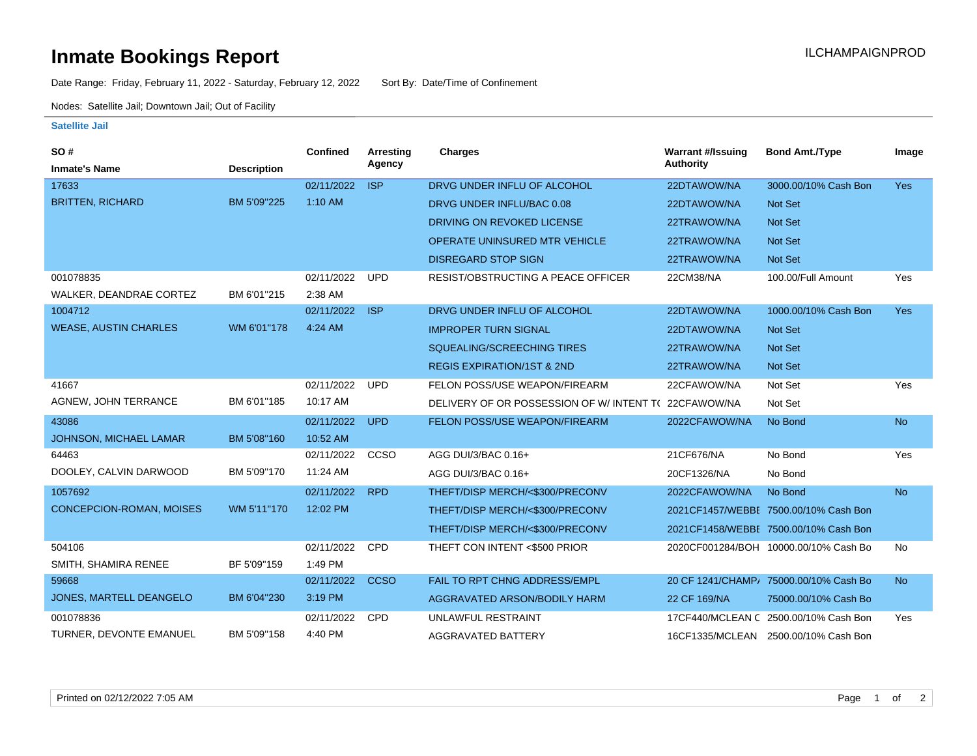## **Inmate Bookings Report Installation ILCHAMPAIGNPROD**

Date Range: Friday, February 11, 2022 - Saturday, February 12, 2022 Sort By: Date/Time of Confinement

Nodes: Satellite Jail; Downtown Jail; Out of Facility

## **Satellite Jail**

| <b>SO#</b>                    |                    | Confined   | <b>Arresting</b> | <b>Charges</b>                            | <b>Warrant #/Issuing</b> | <b>Bond Amt./Type</b>                  | Image      |
|-------------------------------|--------------------|------------|------------------|-------------------------------------------|--------------------------|----------------------------------------|------------|
| <b>Inmate's Name</b>          | <b>Description</b> |            | Agency           |                                           | <b>Authority</b>         |                                        |            |
| 17633                         |                    | 02/11/2022 | <b>ISP</b>       | DRVG UNDER INFLU OF ALCOHOL               | 22DTAWOW/NA              | 3000.00/10% Cash Bon                   | <b>Yes</b> |
| <b>BRITTEN, RICHARD</b>       | BM 5'09"225        | $1:10$ AM  |                  | DRVG UNDER INFLU/BAC 0.08                 | 22DTAWOW/NA              | Not Set                                |            |
|                               |                    |            |                  | DRIVING ON REVOKED LICENSE                | 22TRAWOW/NA              | Not Set                                |            |
|                               |                    |            |                  | <b>OPERATE UNINSURED MTR VEHICLE</b>      | 22TRAWOW/NA              | Not Set                                |            |
|                               |                    |            |                  | <b>DISREGARD STOP SIGN</b>                | 22TRAWOW/NA              | Not Set                                |            |
| 001078835                     |                    | 02/11/2022 | <b>UPD</b>       | <b>RESIST/OBSTRUCTING A PEACE OFFICER</b> | 22CM38/NA                | 100.00/Full Amount                     | Yes        |
| WALKER, DEANDRAE CORTEZ       | BM 6'01"215        | 2:38 AM    |                  |                                           |                          |                                        |            |
| 1004712                       |                    | 02/11/2022 | <b>ISP</b>       | DRVG UNDER INFLU OF ALCOHOL               | 22DTAWOW/NA              | 1000.00/10% Cash Bon                   | Yes        |
| <b>WEASE, AUSTIN CHARLES</b>  | WM 6'01"178        | 4:24 AM    |                  | <b>IMPROPER TURN SIGNAL</b>               | 22DTAWOW/NA              | Not Set                                |            |
|                               |                    |            |                  | SQUEALING/SCREECHING TIRES                | 22TRAWOW/NA              | Not Set                                |            |
|                               |                    |            |                  | <b>REGIS EXPIRATION/1ST &amp; 2ND</b>     | 22TRAWOW/NA              | <b>Not Set</b>                         |            |
| 41667                         |                    | 02/11/2022 | <b>UPD</b>       | FELON POSS/USE WEAPON/FIREARM             | 22CFAWOW/NA              | Not Set                                | Yes        |
| AGNEW, JOHN TERRANCE          | BM 6'01"185        | 10:17 AM   |                  | DELIVERY OF OR POSSESSION OF W/INTENT TO  | 22CFAWOW/NA              | Not Set                                |            |
| 43086                         |                    | 02/11/2022 | <b>UPD</b>       | FELON POSS/USE WEAPON/FIREARM             | 2022CFAWOW/NA            | No Bond                                | <b>No</b>  |
| <b>JOHNSON, MICHAEL LAMAR</b> | BM 5'08"160        | 10:52 AM   |                  |                                           |                          |                                        |            |
| 64463                         |                    | 02/11/2022 | CCSO             | AGG DUI/3/BAC 0.16+                       | 21CF676/NA               | No Bond                                | Yes        |
| DOOLEY, CALVIN DARWOOD        | BM 5'09"170        | 11:24 AM   |                  | AGG DUI/3/BAC 0.16+                       | 20CF1326/NA              | No Bond                                |            |
| 1057692                       |                    | 02/11/2022 | <b>RPD</b>       | THEFT/DISP MERCH/<\$300/PRECONV           | 2022CFAWOW/NA            | No Bond                                | <b>No</b>  |
| CONCEPCION-ROMAN, MOISES      | WM 5'11"170        | 12:02 PM   |                  | THEFT/DISP MERCH/<\$300/PRECONV           |                          | 2021CF1457/WEBBE 7500.00/10% Cash Bon  |            |
|                               |                    |            |                  | THEFT/DISP MERCH/<\$300/PRECONV           |                          | 2021CF1458/WEBBE 7500.00/10% Cash Bon  |            |
| 504106                        |                    | 02/11/2022 | <b>CPD</b>       | THEFT CON INTENT <\$500 PRIOR             |                          | 2020CF001284/BOH 10000.00/10% Cash Bo  | No         |
| SMITH, SHAMIRA RENEE          | BF 5'09"159        | 1:49 PM    |                  |                                           |                          |                                        |            |
| 59668                         |                    | 02/11/2022 | <b>CCSO</b>      | FAIL TO RPT CHNG ADDRESS/EMPL             |                          | 20 CF 1241/CHAMP/ 75000.00/10% Cash Bo | <b>No</b>  |
| JONES, MARTELL DEANGELO       | BM 6'04"230        | 3:19 PM    |                  | AGGRAVATED ARSON/BODILY HARM              | 22 CF 169/NA             | 75000.00/10% Cash Bo                   |            |
| 001078836                     |                    | 02/11/2022 | <b>CPD</b>       | UNLAWFUL RESTRAINT                        |                          | 17CF440/MCLEAN C 2500.00/10% Cash Bon  | Yes        |
| TURNER, DEVONTE EMANUEL       | BM 5'09"158        | 4:40 PM    |                  | <b>AGGRAVATED BATTERY</b>                 |                          | 16CF1335/MCLEAN 2500.00/10% Cash Bon   |            |